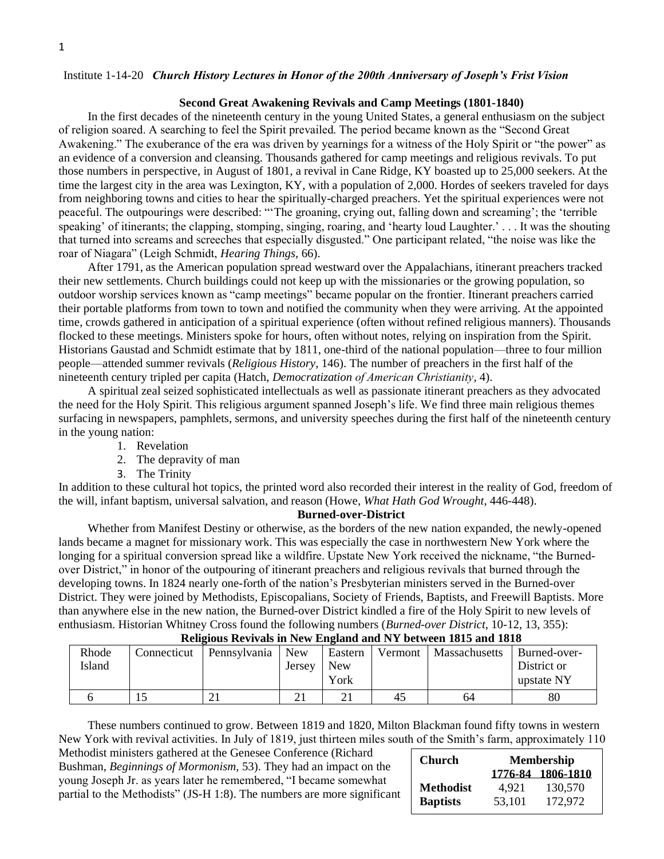### Institute 1-14-20 *Church History Lectures in Honor of the 200th Anniversary of Joseph's Frist Vision*

#### **Second Great Awakening Revivals and Camp Meetings (1801-1840)**

In the first decades of the nineteenth century in the young United States, a general enthusiasm on the subject of religion soared. A searching to feel the Spirit prevailed. The period became known as the "Second Great Awakening." The exuberance of the era was driven by yearnings for a witness of the Holy Spirit or "the power" as an evidence of a conversion and cleansing. Thousands gathered for camp meetings and religious revivals. To put those numbers in perspective, in August of 1801, a revival in Cane Ridge, KY boasted up to 25,000 seekers. At the time the largest city in the area was Lexington, KY, with a population of 2,000. Hordes of seekers traveled for days from neighboring towns and cities to hear the spiritually-charged preachers. Yet the spiritual experiences were not peaceful. The outpourings were described: "'The groaning, crying out, falling down and screaming'; the 'terrible speaking' of itinerants; the clapping, stomping, singing, roaring, and 'hearty loud Laughter.' . . . It was the shouting that turned into screams and screeches that especially disgusted." One participant related, "the noise was like the roar of Niagara" (Leigh Schmidt, *Hearing Things,* 66).

After 1791, as the American population spread westward over the Appalachians, itinerant preachers tracked their new settlements. Church buildings could not keep up with the missionaries or the growing population, so outdoor worship services known as "camp meetings" became popular on the frontier. Itinerant preachers carried their portable platforms from town to town and notified the community when they were arriving. At the appointed time, crowds gathered in anticipation of a spiritual experience (often without refined religious manners). Thousands flocked to these meetings. Ministers spoke for hours, often without notes, relying on inspiration from the Spirit. Historians Gaustad and Schmidt estimate that by 1811, one-third of the national population—three to four million people—attended summer revivals (*Religious History*, 146). The number of preachers in the first half of the nineteenth century tripled per capita (Hatch, *Democratization of American Christianity,* 4).

A spiritual zeal seized sophisticated intellectuals as well as passionate itinerant preachers as they advocated the need for the Holy Spirit. This religious argument spanned Joseph's life. We find three main religious themes surfacing in newspapers, pamphlets, sermons, and university speeches during the first half of the nineteenth century in the young nation:

- 1. Revelation
- 2. The depravity of man
- 3. The Trinity

In addition to these cultural hot topics, the printed word also recorded their interest in the reality of God, freedom of the will, infant baptism, universal salvation, and reason (Howe, *What Hath God Wrought*, 446-448).

#### **Burned-over-District**

Whether from Manifest Destiny or otherwise, as the borders of the new nation expanded, the newly-opened lands became a magnet for missionary work. This was especially the case in northwestern New York where the longing for a spiritual conversion spread like a wildfire. Upstate New York received the nickname, "the Burnedover District," in honor of the outpouring of itinerant preachers and religious revivals that burned through the developing towns. In 1824 nearly one-forth of the nation's Presbyterian ministers served in the Burned-over District. They were joined by Methodists, Episcopalians, Society of Friends, Baptists, and Freewill Baptists. More than anywhere else in the new nation, the Burned-over District kindled a fire of the Holy Spirit to new levels of enthusiasm. Historian Whitney Cross found the following numbers (*Burned-over District*, 10-12, 13, 355):

| Rhode<br>Island | Connecticut | Pennsylvania | <b>New</b><br>Jersey | Eastern<br>New | Vermont | Massachusetts | Burned-over-<br>District or |  |  |
|-----------------|-------------|--------------|----------------------|----------------|---------|---------------|-----------------------------|--|--|
|                 |             |              |                      | York           |         |               | upstate NY                  |  |  |
|                 |             |              | $\sim$ $\sim$        |                | 45      | 64            | 80                          |  |  |

#### **Religious Revivals in New England and NY between 1815 and 1818**

These numbers continued to grow. Between 1819 and 1820, Milton Blackman found fifty towns in western New York with revival activities. In July of 1819, just thirteen miles south of the Smith's farm, approximately 110

Methodist ministers gathered at the Genesee Conference (Richard Bushman, *Beginnings of Mormonism,* 53). They had an impact on the young Joseph Jr. as years later he remembered, "I became somewhat partial to the Methodists" (JS-H 1:8). The numbers are more significant

| Church           | <b>Membership</b> |                   |  |  |  |  |
|------------------|-------------------|-------------------|--|--|--|--|
|                  |                   | 1776-84 1806-1810 |  |  |  |  |
| <b>Methodist</b> | 4.921             | 130,570           |  |  |  |  |
| <b>Baptists</b>  | 53.101            | 172,972           |  |  |  |  |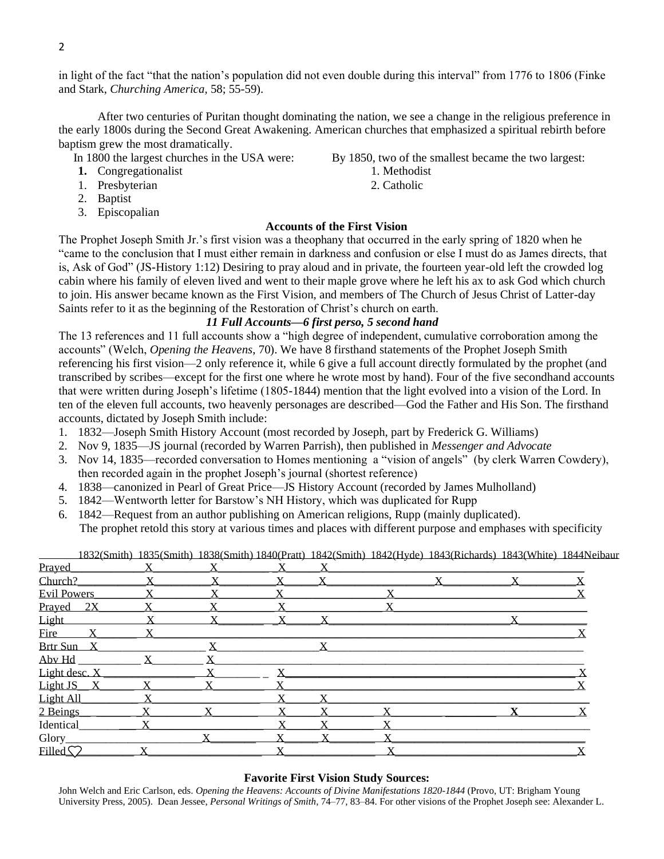2

in light of the fact "that the nation's population did not even double during this interval" from 1776 to 1806 (Finke and Stark, *Churching America,* 58; 55-59).

After two centuries of Puritan thought dominating the nation, we see a change in the religious preference in the early 1800s during the Second Great Awakening. American churches that emphasized a spiritual rebirth before baptism grew the most dramatically.

- 
- **1.** Congregationalist 1. Methodist
- 1. Presbyterian 2. Catholic
- 2. Baptist
- 3. Episcopalian

# In 1800 the largest churches in the USA were: By 1850, two of the smallest became the two largest:

- 
- 

# **Accounts of the First Vision**

The Prophet Joseph Smith Jr.'s first vision was a theophany that occurred in the early spring of 1820 when he "came to the conclusion that I must either remain in darkness and confusion or else I must do as James directs, that is, Ask of God" (JS-History 1:12) Desiring to pray aloud and in private, the fourteen year-old left the crowded log cabin where his family of eleven lived and went to their maple grove where he left his ax to ask God which church to join. His answer became known as the First Vision, and members of The Church of Jesus Christ of Latter-day Saints refer to it as the beginning of the Restoration of Christ's church on earth.

# *11 Full Accounts—6 first perso, 5 second hand*

The 13 references and 11 full accounts show a "high degree of independent, cumulative corroboration among the accounts" (Welch, *Opening the Heavens*, 70). We have 8 firsthand statements of the Prophet Joseph Smith referencing his first vision—2 only reference it, while 6 give a full account directly formulated by the prophet (and transcribed by scribes—except for the first one where he wrote most by hand). Four of the five secondhand accounts that were written during Joseph's lifetime (1805-1844) mention that the light evolved into a vision of the Lord. In ten of the eleven full accounts, two heavenly personages are described—God the Father and His Son. The firsthand accounts, dictated by Joseph Smith include:

- 1. 1832—Joseph Smith History Account (most recorded by Joseph, part by Frederick G. Williams)
- 2. Nov 9, 1835—JS journal (recorded by Warren Parrish), then published in *Messenger and Advocate*
- 3. Nov 14, 1835—recorded conversation to Homes mentioning a "vision of angels" (by clerk Warren Cowdery), then recorded again in the prophet Joseph's journal (shortest reference)
- 4. 1838—canonized in Pearl of Great Price—JS History Account (recorded by James Mulholland)
- 5. 1842—Wentworth letter for Barstow's NH History, which was duplicated for Rupp
- 6. 1842—Request from an author publishing on American religions, Rupp (mainly duplicated). The prophet retold this story at various times and places with different purpose and emphases with specificity

1832(Smith) 1835(Smith) 1838(Smith) 1840(Pratt) 1842(Smith) 1842(Hyde) 1843(Richards) 1843(White) 1844Neibaur

| Prayed                |   |             |  |  |
|-----------------------|---|-------------|--|--|
| Church?               |   |             |  |  |
| Evil Powers           |   |             |  |  |
| Prayed 2X_            |   |             |  |  |
| Light                 |   |             |  |  |
| <b>Fire</b>           |   |             |  |  |
| Brtr Sun <sub>X</sub> | X | $\mathbf X$ |  |  |
| Aby Hd                |   |             |  |  |
| Light desc. X         |   |             |  |  |
| Light JS_X            |   |             |  |  |
| Light All_            |   |             |  |  |
| 2 Beings              |   |             |  |  |
| <b>Identical</b>      |   |             |  |  |
| Glory                 |   |             |  |  |
| Filled <sup>C</sup>   |   |             |  |  |

# **Favorite First Vision Study Sources:**

John Welch and Eric Carlson, eds. *Opening the Heavens: Accounts of Divine Manifestations 1820-1844* (Provo, UT: Brigham Young University Press, 2005). Dean Jessee, *Personal Writings of Smith*, 74–77, 83–84. For other visions of the Prophet Joseph see: Alexander L.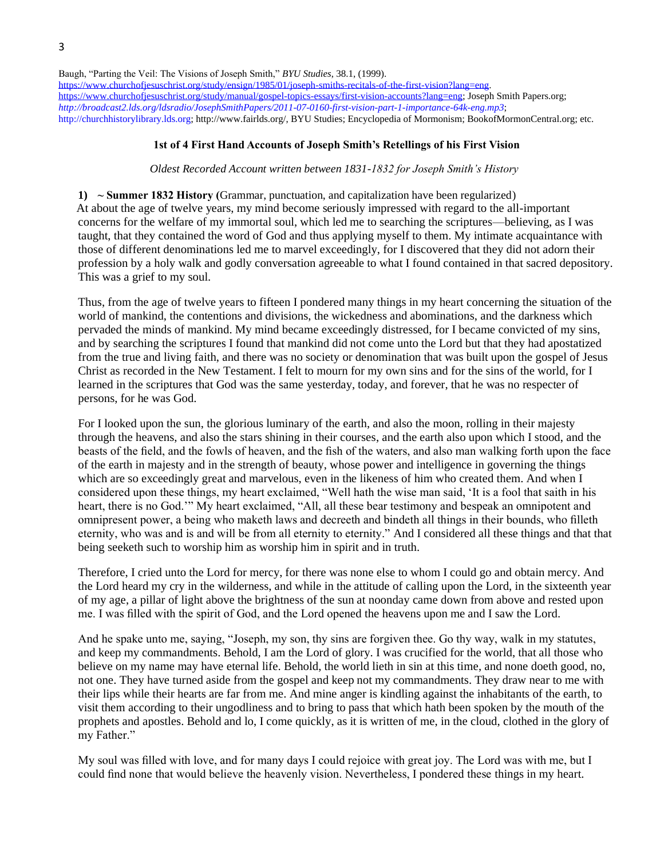Baugh, "Parting the Veil: The Visions of Joseph Smith," *BYU Studies*, 38.1, (1999). [https://www.churchofjesuschrist.org/study/ensign/1985/01/joseph-smiths-recitals-of-the-first-vision?lang=eng.](https://www.churchofjesuschrist.org/study/ensign/1985/01/joseph-smiths-recitals-of-the-first-vision?lang=eng) [https://www.churchofjesuschrist.org/study/manual/gospel-topics-essays/first-vision-accounts?lang=eng;](https://www.churchofjesuschrist.org/study/manual/gospel-topics-essays/first-vision-accounts?lang=eng) Joseph Smith Papers.org; *<http://broadcast2.lds.org/ldsradio/JosephSmithPapers/2011-07-0160-first-vision-part-1-importance-64k-eng.mp3>*; [http://churchhistorylibrary.lds.org;](http://churchhistorylibrary.lds.org/) http://www.fairlds.org/, BYU Studies; Encyclopedia of Mormonism; BookofMormonCentral.org; etc.

## **1st of 4 First Hand Accounts of Joseph Smith's Retellings of his First Vision**

#### *Oldest Recorded Account written between 1831-1832 for Joseph Smith's History*

**1) ~ Summer 1832 History (**Grammar, punctuation, and capitalization have been regularized) At about the age of twelve years, my mind become seriously impressed with regard to the all-important concerns for the welfare of my immortal soul, which led me to searching the scriptures—believing, as I was taught, that they contained the word of God and thus applying myself to them. My intimate acquaintance with those of different denominations led me to marvel exceedingly, for I discovered that they did not adorn their profession by a holy walk and godly conversation agreeable to what I found contained in that sacred depository. This was a grief to my soul.

Thus, from the age of twelve years to fifteen I pondered many things in my heart concerning the situation of the world of mankind, the contentions and divisions, the wickedness and abominations, and the darkness which pervaded the minds of mankind. My mind became exceedingly distressed, for I became convicted of my sins, and by searching the scriptures I found that mankind did not come unto the Lord but that they had apostatized from the true and living faith, and there was no society or denomination that was built upon the gospel of Jesus Christ as recorded in the New Testament. I felt to mourn for my own sins and for the sins of the world, for I learned in the scriptures that God was the same yesterday, today, and forever, that he was no respecter of persons, for he was God.

For I looked upon the sun, the glorious luminary of the earth, and also the moon, rolling in their majesty through the heavens, and also the stars shining in their courses, and the earth also upon which I stood, and the beasts of the field, and the fowls of heaven, and the fish of the waters, and also man walking forth upon the face of the earth in majesty and in the strength of beauty, whose power and intelligence in governing the things which are so exceedingly great and marvelous, even in the likeness of him who created them. And when I considered upon these things, my heart exclaimed, "Well hath the wise man said, 'It is a fool that saith in his heart, there is no God.'" My heart exclaimed, "All, all these bear testimony and bespeak an omnipotent and omnipresent power, a being who maketh laws and decreeth and bindeth all things in their bounds, who filleth eternity, who was and is and will be from all eternity to eternity." And I considered all these things and that that being seeketh such to worship him as worship him in spirit and in truth.

Therefore, I cried unto the Lord for mercy, for there was none else to whom I could go and obtain mercy. And the Lord heard my cry in the wilderness, and while in the attitude of calling upon the Lord, in the sixteenth year of my age, a pillar of light above the brightness of the sun at noonday came down from above and rested upon me. I was filled with the spirit of God, and the Lord opened the heavens upon me and I saw the Lord.

And he spake unto me, saying, "Joseph, my son, thy sins are forgiven thee. Go thy way, walk in my statutes, and keep my commandments. Behold, I am the Lord of glory. I was crucified for the world, that all those who believe on my name may have eternal life. Behold, the world lieth in sin at this time, and none doeth good, no, not one. They have turned aside from the gospel and keep not my commandments. They draw near to me with their lips while their hearts are far from me. And mine anger is kindling against the inhabitants of the earth, to visit them according to their ungodliness and to bring to pass that which hath been spoken by the mouth of the prophets and apostles. Behold and lo, I come quickly, as it is written of me, in the cloud, clothed in the glory of my Father."

My soul was filled with love, and for many days I could rejoice with great joy. The Lord was with me, but I could find none that would believe the heavenly vision. Nevertheless, I pondered these things in my heart.